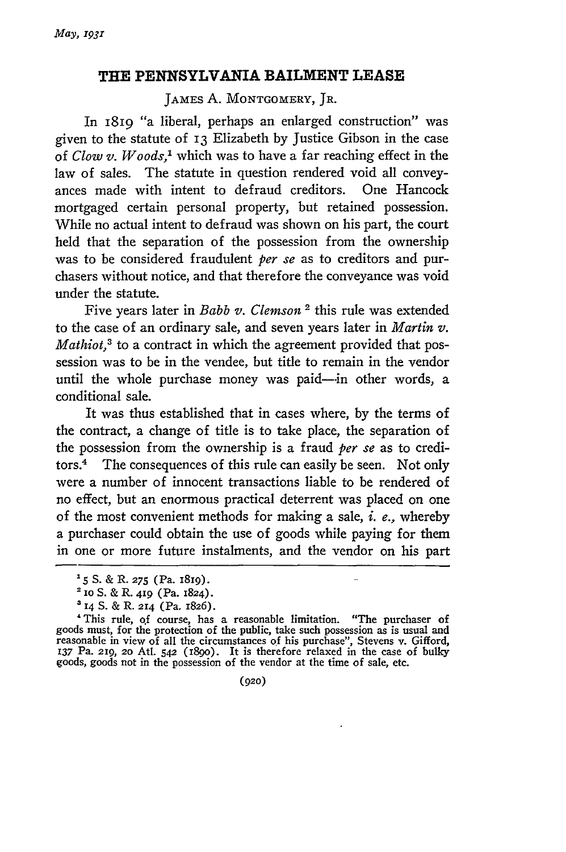## **THE PENNSYLVANIA BAILMENT LEASE**

JAMES **A.** MONTGOMERY, JR.

In 18i9 "a liberal, perhaps an enlarged construction" was given to the statute of 13 Elizabeth by Justice Gibson in the case of *Clow v. Woods,'* which was to have a far reaching effect in the law of sales. The statute in question rendered void all conveyances made with intent to defraud creditors. One Hancock mortgaged certain personal property, but retained possession. While no actual intent to defraud was shown on his part, the court held that the separation of the possession from the ownership was to be considered fraudulent *per se* as to creditors and purchasers without notice, and that therefore the conveyance was void under the statute.

Five years later in *Babb v. Clemson* 2 this rule was extended to the case of an ordinary sale, and seven years later in *Martin v. Mathiot,3* to a contract in which the agreement provided that possession was to be in the vendee, but title to remain in the vendor until the whole purchase money was paid--in other words, a conditional sale.

It was thus established that in cases where, by the terms of the contract, a change of title is to take place, the separation of the possession from the ownership is a fraud *per se* as to creditors.4 The consequences of this rule can easily be seen. Not only were a number of innocent transactions liable to be rendered of no effect, but an enormous practical deterrent was placed on one of the most convenient methods for making a sale, *i. e.,* whereby a purchaser could obtain the use of goods while paying for them in one or more future instalments, and the vendor on his part

(920)

**<sup>&#</sup>x27;5 S.** & R. **275** (Pa. i8ig).

<sup>2</sup> io **S.** & R. **419** (Pa. 1824).

**<sup>3 14</sup>** S. & R. 214 (Pa. 1826).

<sup>&#</sup>x27;This rule, of course, has a reasonable limitation. "The purchaser of goods must, for the protection of the public, take such possession as is usual and reasonable in view of all the circumstances of his purchase", Stevens v. Gifford, **137** Pa. 219, **20** Atl. *542* (i8go). It is therefore relaxed in the case of bulky goods, goods not in the possession of the vendor at the time of sale, etc.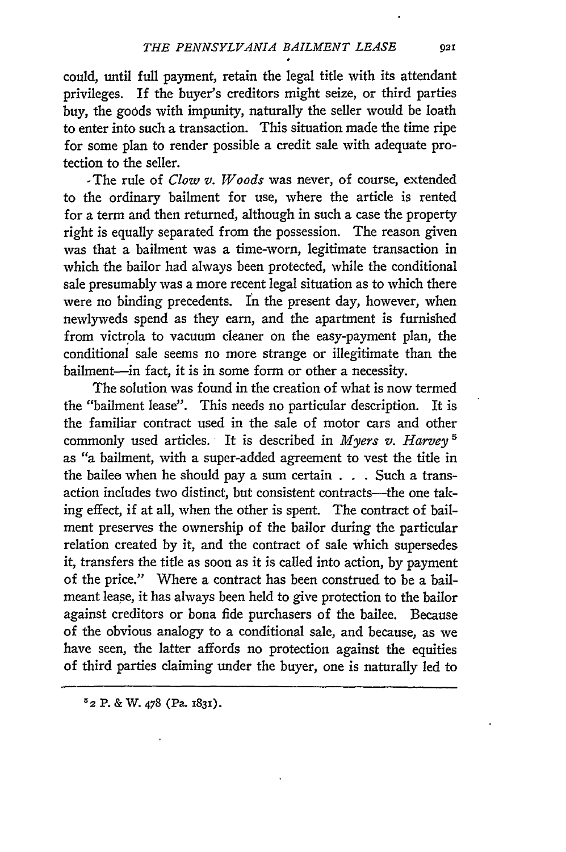could, until full payment, retain the legal title with its attendant privileges. If the buyer's creditors might seize, or third parties buy, the goods with impunity, naturally the seller would be loath to enter into such a transaction. This situation made the time ripe for some plan to render possible a credit sale with adequate protection to the seller.

-The rule of *Clow v. Woods* was never, of course, extended to the ordinary bailment for use, where the article is rented for a term and then returned, although in such a case the property right is equally separated from the possession. The reason given was that a bailment was a time-worn, legitimate transaction in which the bailor had always been protected, while the conditional sale presumably was a more recent legal situation as to which there were no binding precedents. In the present day, however, when newlyweds spend as they earn, and the apartment is furnished from victrola to vacuum cleaner on the easy-payment plan, the conditional sale seems no more strange or illegitimate than the bailment-in fact, it is in some form or other a necessity.

The solution was found in the creation of what is now termed the "bailment lease". This needs no particular description. It is the familiar contract used in the sale of motor cars and other commonly used articles. It is described in *Myers v. Harvey '* as "a bailment, with a super-added agreement to vest the title in the bailee when he should pay a sum certain . . . Such a transaction includes two distinct, but consistent contracts—the one taking effect, if at all, when the other is spent. The contract of bailment preserves the ownership of the bailor during the particular relation created by it, and the contract of sale which supersedes it, transfers the title as soon as it is called into action, by payment of the price." Where a contract has been construed to be a bailmeant lease, it has always been held to give protection to the bailor against creditors or bona fide purchasers of the bailee. Because of the obvious analogy to a conditional sale, and because, as we have seen, the latter affords no protection against the equities of third parties claiming under the buyer, one is naturally led to

*52* P. **&** W. **478** (Pa. **1831).**

021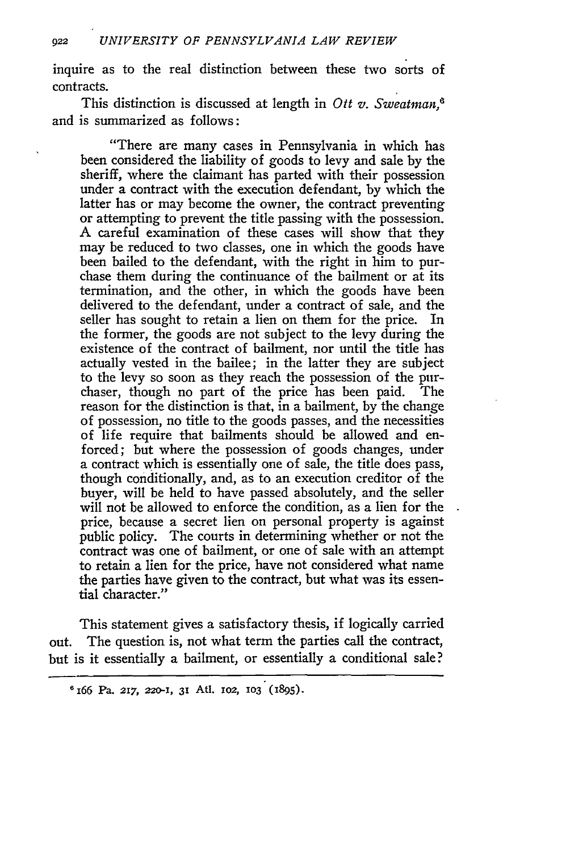inquire as to the real distinction between these two sorts of contracts.

This distinction is discussed at length in Ott *v. Sweatman,* and is summarized as follows:

"There are many cases in Pennsylvania in which has been considered the liability of goods to levy and sale by the sheriff, where the claimant has parted with their possession under a contract with the execution defendant, by which the latter has or may become the owner, the contract preventing or attempting to prevent the title passing with the possession. A careful examination of these cases will show that they may be reduced to two classes, one in which the goods have been bailed to the defendant, with the right in him to purchase them during the continuance of the bailment or at its termination, and the other, in which the goods have been delivered to the defendant, under a contract of sale, and the seller has sought to retain a lien on them for the price. In the former, the goods are not subject to the levy during the existence of the contract of bailment, nor until the title has actually vested in the bailee; in the latter they are subject to the levy so soon as they reach the possession of the purchaser, though no part of the price has been paid. The reason for the distinction is that, in a bailment, by the change of possession, no title to the goods passes, and the necessities of life require that bailments should be allowed and enforced; but where the possession of goods changes, under a contract which is essentially one of sale, the title does pass, though conditionally, and, as to an execution creditor of the buyer, will be held to have passed absolutely, and the seller will not be allowed to enforce the condition, as a lien for the price, because a secret lien on personal property is against public policy. The courts in determining whether or not the contract was one of bailment, or one of sale with an attempt to retain a lien for the price, have not considered what name the parties have given to the contract, but what was its essential character."

This statement gives a satisfactory thesis, if logically carried out. The question is, not what term the parties call the contract, but is it essentially a bailment, or essentially a conditional sale?

<sup>&</sup>lt;sup>6</sup> 166 Pa. 217, 220-1, 31 Atl. 102, 103 (1895).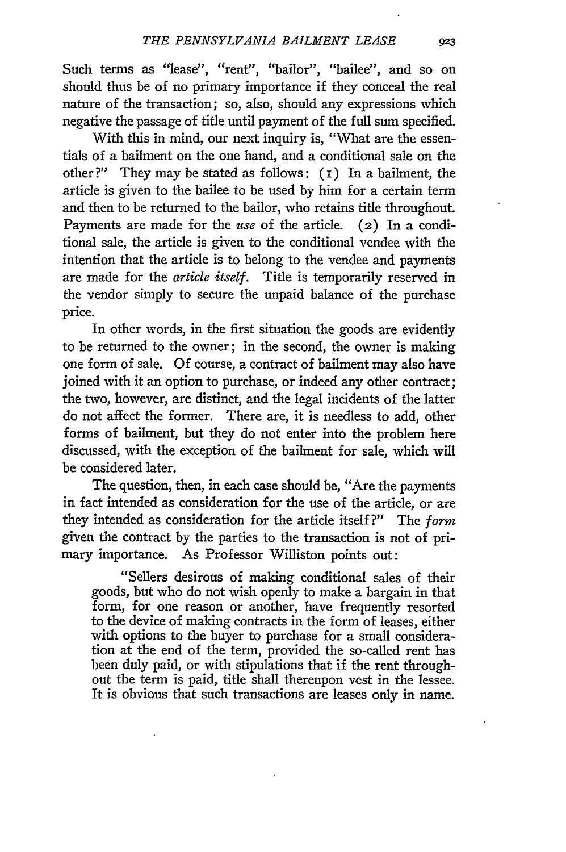Such terms as "lease", "rent", "bailor", "bailee", and so on should thus be of no primary importance if they conceal the real nature of the transaction; so, also, should any expressions which negative the passage of title until payment of the full sum specified.

With this in mind, our next inquiry is, "What are the essentials of a bailment on the one hand, and a conditional sale on the other ?" They may be stated as follows: (i) In a bailment, the article is given to the bailee to be used by him for a certain term and then to be returned to the bailor, who retains title throughout. Payments are made for the *use* of the article. (2) In a conditional sale, the article is given to the conditional vendee with the intention that the article is to belong to the vendee and payments are made for the *article itself.* Title is temporarily reserved in the vendor simply to secure the unpaid balance of the purchase price.

In other words, in the first situation the goods are evidently to be returned to the owner; in the second, the owner is making one form of sale. Of course, a contract of bailment may also have joined with it an option to purchase, or indeed any other contract; the two, however, are distinct, and the legal incidents of the latter do not affect the former. There are, it is needless to add, other forms of bailment, but they do not enter into the problem here discussed, with the exception of the bailment for sale, which will be considered later.

The question, then, in each case should be, "Are the payments in fact intended as consideration for the use of the article, or are they intended as consideration for the article itself **?"** The *form* given the contract by the parties to the transaction is not of primary importance. As Professor Williston points out:

"Sellers desirous of making conditional sales of their goods, but who do not wish openly to make a bargain in that form, for one reason or another, have frequently resorted to the device of making contracts in the form of leases, either with options to the buyer to purchase for a small consideration at the end of the term, provided the so-called rent has been duly paid, or with stipulations that if the rent throughout the term is paid, title shall thereupon vest in the lessee. It is obvious that such transactions are leases only in name.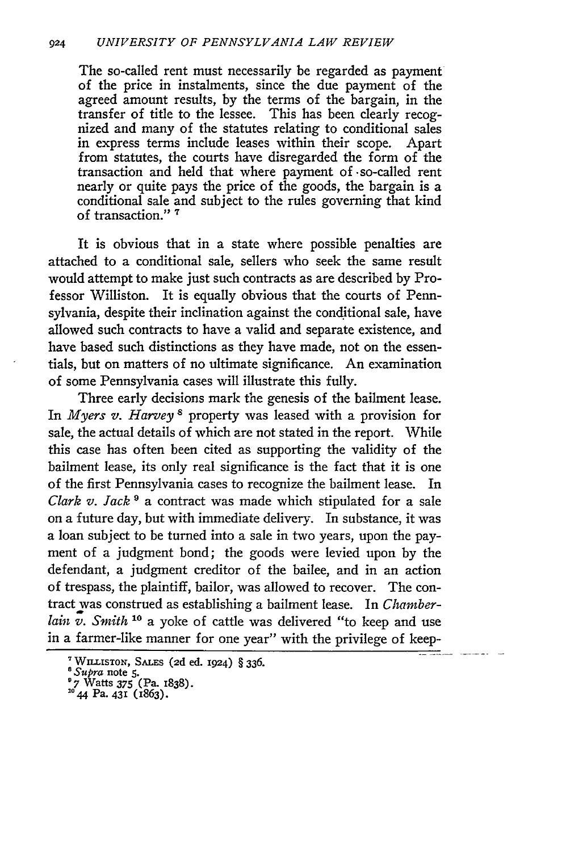The so-called rent must necessarily be regarded as payment of the price in instalments, since the due payment of the agreed amount results, by the terms of the bargain, in the transfer of title to the lessee. This has been clearly recognized and many of the statutes relating to conditional sales in express terms include leases within their scope. Apart from statutes, the courts have disregarded the form of the transaction and held that where payment of -so-called rent nearly or quite pays the price of the goods, the bargain is a conditional sale and subject to the rules governing that kind of transaction." **7**

It is obvious that in a state where possible penalties are attached to a conditional sale, sellers who seek the same result would attempt to make just such contracts as are described by Professor Williston. It is equally obvious that the courts of Pennsylvania, despite their inclination against the conditional sale, have allowed such contracts to have a valid and separate existence, and have based such distinctions as they have made, not on the essentials, but on matters of no ultimate significance. An examination of some Pennsylvania cases will illustrate this fully.

Three early decisions mark the genesis of the bailment lease. In *Myers v. Harvey*<sup>8</sup> property was leased with a provision for sale, the actual details of which are not stated in the report. While this case has often been cited as supporting the validity of the bailment lease, its only real significance is the fact that it is one of the first Pennsylvania cases to recognize the bailment lease. In *Clark v. Jack* **9** a contract was made which stipulated for a sale on a future day, but with immediate delivery. In substance, it was a loan subject to be turned into a sale in two years, upon the payment of a judgment bond; the goods were levied upon by the defendant, a judgment creditor of the bailee, and in an action of trespass, the plaintiff, bailor, was allowed to recover. The contract was construed as establishing a bailment lease. In *Chamberlain v. Smith 10* a yoke of cattle was delivered "to keep and use in a farmer-like manner for one year" with the privilege of keep-

WI.LISTON, **SALES** (2d ed. 1924) § 336. *<sup>8</sup> Supra* note 5.

<sup>&</sup>lt;sup>8</sup> *Supra* note 5.<br>
<sup>9</sup> 7 Watts 375 (Pa. 1838).<br>
<sup>10</sup> 44 Pa. 431 (1863).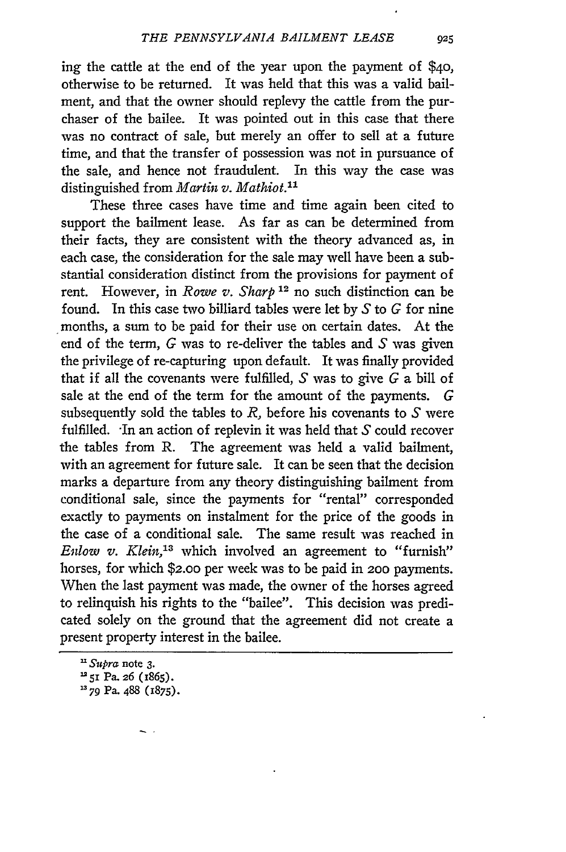ing the cattle at the end of the year upon the payment of \$4o, otherwise to be returned. It was held that this was a valid bailment, and that the owner should replevy the cattle from the purchaser of the bailee. It was pointed out in this case that there was no contract of sale, but merely an offer to sell at a future time, and that the transfer of possession was not in pursuance of the sale, and hence not fraudulent. In this way the case was distinguished from *Martin v. Mathiot.11*

These three cases have time and time again been cited to support the bailment lease. As far as can be determined from their facts, they are consistent with the theory advanced as, in each case, the consideration for the sale may well have been a substantial consideration distinct from the provisions for payment of rent. However, in *Rowe v. Sharp*<sup>12</sup> no such distinction can be found. In this case two billiard tables were let by S to *G* for nine months, a sum to be paid for their use on certain dates. At the end of the term, *G* was to re-deliver the tables and S was given the privilege of re-capturing upon default. It was finally provided that if all the covenants were fulfilled, S was to give *G* a bill of sale at the end of the term for the amount of the payments. G subsequently sold the tables to  $R$ , before his covenants to  $S$  were fulfilled. In an action of replevin it was held that  $S$  could recover the tables from R. The agreement was held a valid bailment, with an agreement for future sale. It can be seen that the decision marks a departure from any theory distinguishing bailment from conditional sale, since the payments for "rental" corresponded exactly to payments on instalment for the price of the goods in the case of a conditional sale. The same result was reached in *Enlow v. Klein,'3* which involved an agreement to "furnish" horses, for which *\$2.00* per week was to be paid in 200 payments. When the last payment was made, the owner of the horses agreed to relinquish his rights to the "bailee". This decision was predicated solely on the ground that the agreement did not create a present property interest in the bailee.

925

*<sup>&#</sup>x27; Supra* note **3.**

**<sup>&#</sup>x27;5I** Pa. 26 (1865).

**<sup>&</sup>quot;79** Pa. **488 (1875).**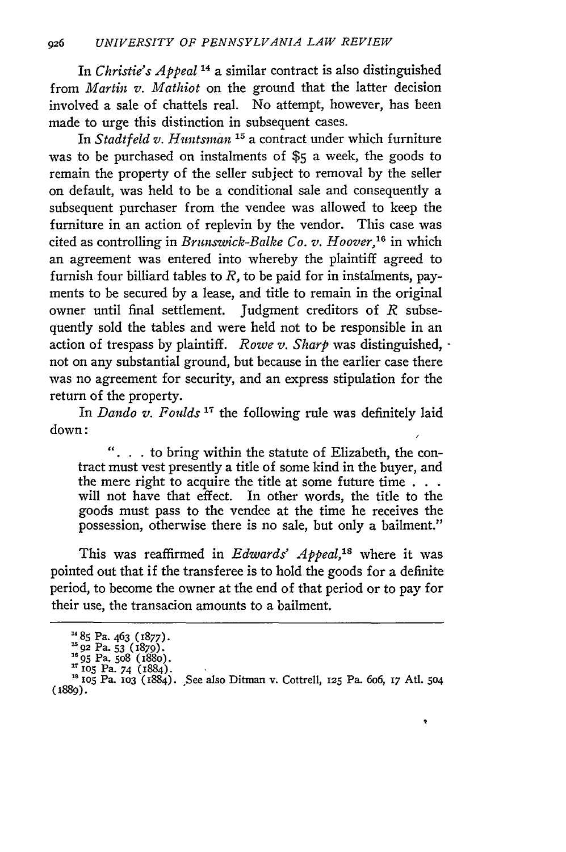In *Christie's Appeal* **14** a similar contract is also distinguished from *Martin v. Mathiot* on the ground that the latter decision involved a sale of chattels real. No attempt, however, has been made to urge this distinction in subsequent cases.

*In Stadtfeld v. Huntsman* **15** a contract under which furniture was to be purchased on instalments of **\$5** a week, the goods to remain the property of the seller subject to removal by the seller on default, was held to be a conditional sale and consequently a subsequent purchaser from the vendee was allowed to keep the furniture in an action of replevin by the vendor. This case was cited as controlling in *Brunswick-Balke Co. v. Hoover,16* in which an agreement was entered into whereby the plaintiff agreed to furnish four billiard tables to *R,* to be paid for in instalments, payments to be secured **by** a lease, and title to remain in the original owner until final settlement. Judgment creditors of  $R$  subsequently sold the tables and were held not to be responsible in an action of trespass **by** plaintiff. *Rowe v. Sharp* was distinguished,  not on any substantial ground, but because in the earlier case there was no agreement for security, and an express stipulation for the return of the property.

In *Dando v. Foulds '"* the following rule was definitely laid down:

 $\ldots$  to bring within the statute of Elizabeth, the contract must vest presently a title of some kind in the buyer, and the mere right to acquire the title at some future time **. . .** will not have that effect. In other words, the title to the goods must pass to the vendee at the time he receives the possession, otherwise there is no sale, but only a bailment."

This was reaffirmed in *Edwards' Appeal,"'* where it was pointed out that if the transferee is to hold the goods for a definite period, to become the owner at the end of that period or to pay for their use, the transacion amounts to a bailment.

ę

**<sup>&</sup>lt;sup>14</sup> 85 Pa. 463 (1877)**<br><sup>15</sup> 02 Pa. 53 (1870).

**<sup>16</sup>**95 Pa. 5o8 (188o). **17 lO5** Pa. 74 (1884).

**iOS** Pa. iO3 (1884). See also Ditman v. Cottrell, 125 Pa. 6o6, *17* Atl. **504** (1889).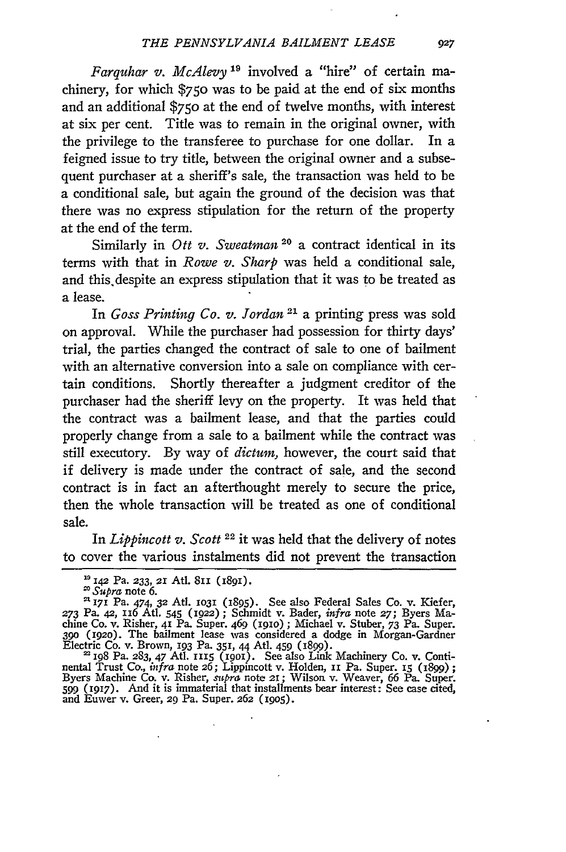*Farquhar v. McAlevy "I* involved a "hire" of certain machinery, for which \$750 was to be paid at the end of six months and an additional \$750 at the end of twelve months, with interest at six per cent. Title was to remain in the original owner, with the privilege to the transferee to purchase for one dollar. In a feigned issue to try title, between the original owner and a subsequent purchaser at a sheriff's sale, the transaction was held to be a conditional sale, but again the ground of the decision was that there was no express stipulation for the return of the property at the end of the term.

Similarly in *Ott v. Sweatman* **20** a contract identical in its terms with that in *Rowe v. Sharp* was held a conditional sale, and this.despite an express stipulation that it was to be treated as a lease.

In *Goss Printing Co. v. Jordan* 21 a printing press was sold on approval. While the purchaser had possession for thirty days' trial, the parties changed the contract of sale to one of bailment with an alternative conversion into a sale on compliance with certain conditions. Shortly thereafter a judgment creditor of the purchaser had the sheriff levy on the property. It was held that the contract was a bailment lease, and that the parties could properly change from a sale to a bailment while the contract was still executory. By way of *dictum,* however, the court said that if delivery is made under the contract of sale, and the second contract is in fact an afterthought merely to secure the price, then the whole transaction will be treated as one of conditional sale.

In *Lippincott v. Scott 22* it was held that the delivery of notes to cover the various instalments did not prevent the transaction

Q27

*i42* Pa. **233, 2r** Atl. **8II** (i89i).

*Supra* note 6.

**<sup>171</sup>** Pa. 474, **32** Atl. **1031** (1895). See also Federal Sales Co. v. Kiefer, **273** Pa. 42, x6 Atl- *545* (1922) **;** Schmidt v. Bader, *infra* note **27;** Byers Machine Co. v. Risher, **41** Pa. Super. 469 (igio) **;** Michael v. Stuber, 73 Pa. Super. **390** (1920). The bailment lease was considered a dodge in Morgan-Gardner Electric Co. v. Brown, 193 Pa. **351,** 44 At]. 459 (1899). 2I98 Pa. 283, 47 Atl. r115 **(1901).** See also Link Machinery Co. v. Conti-

nental Trust Co., *infra* note 26; Lippincott v. Holden, **11 Pa. Super. 15 (1899)**; Byers Machine Co. v. Risher, *mtpra* note *2i;* Wilson v. Weaver, 66 Pa. Super. *599* **(I917).** And it is immaterial that installments bear interest: See case cited, and Euwer v. Greer, 29 Pa. Super. 262 **(1905).**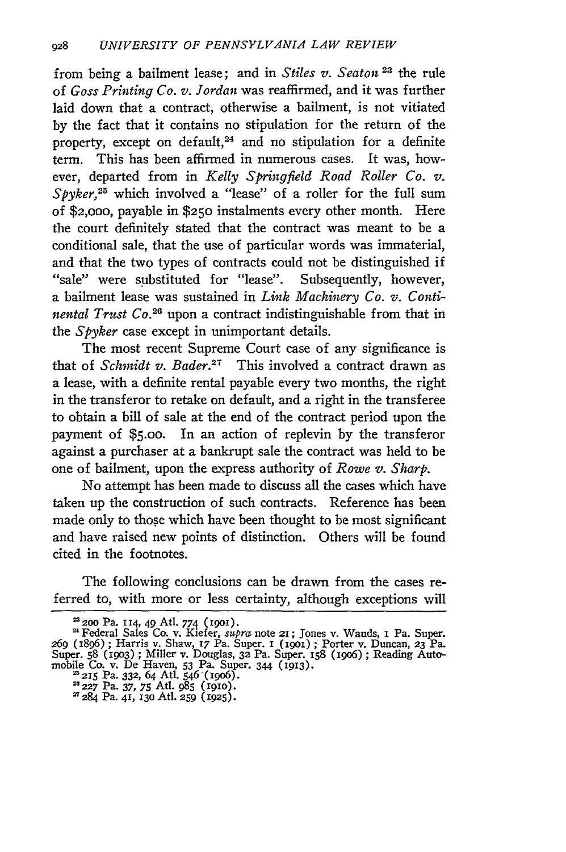from being a bailment lease; and in *Stiles v. Seaton 23* the rule of *Goss Printing Co. v. Jordan* was reaffirmed, and it was further laid down that a contract, otherwise a bailment, is not vitiated by the fact that it contains no stipulation for the return of the property, except on default,<sup>24</sup> and no stipulation for a definite term. This has been affirmed in numerous cases. It was, however, departed from in *Kelly Springfield Road Roller Co. v. Spyker,25* which involved a "lease" of a roller for the full sum of \$2,ooo, payable in **\$250** instalments every other month. Here the court definitely stated that the contract was meant to be a conditional sale, that the use of particular words was immaterial, and that the two types of contracts could not be distinguished if "sale" were substituted for "lease". Subsequently, however, a bailment lease was sustained in *Link Machinery Co. v. Continental Trust Co.*<sup>26</sup> upon a contract indistinguishable from that in the *Spyker* case except in unimportant details.

The most recent Supreme Court case of any significance is that of *Schmidt v. Bader*.<sup>27</sup> This involved a contract drawn as a lease, with a definite rental payable every two months, the right in the transferor to retake on default, and a right in the transferee to obtain a bill of sale at the end of the contract period upon the payment of **\$5.00.** In an action of replevin by the transferor against a purchaser at a bankrupt sale the contract was held to be one of bailment, upon the express authority of *Rowe v. Sharp.*

No attempt has been made to discuss all the cases which have taken up the construction of such contracts. Reference has been made only to those which have been thought to be most significant and have raised new points of distinction. Others will be found cited in the footnotes.

The following conclusions can be drawn from the cases referred to, with more or less certainty, although exceptions will

<sup>&</sup>lt;sup>23</sup> 200 Pa. 114, 49 Atl. 774 (1901).<br><sup>24</sup> Federal Sales Co. v. Kiefer, *supra* note 21; Jones v. Wauds, 1 Pa. Super.<br>269 (1896); Harris v. Shaw, 17 Pa. Super. 1 (1901); Porter v. Duncan, 23 Pa. Super. **58** (19o3) **;** Miller v. Douglas, **32** Pa. Super. 158 (19o6) ; Reading Auto-mobile Co. v. De Haven, 53 Pa. Super. 344 (1913).

**t'215** Pa. **332,** 64 At. 546(19o6). **<sup>227</sup>**Pa. 37, 75 At. **985 (1910).** 2T284 Pa. **41,** 13o Atl. **259 (1925).**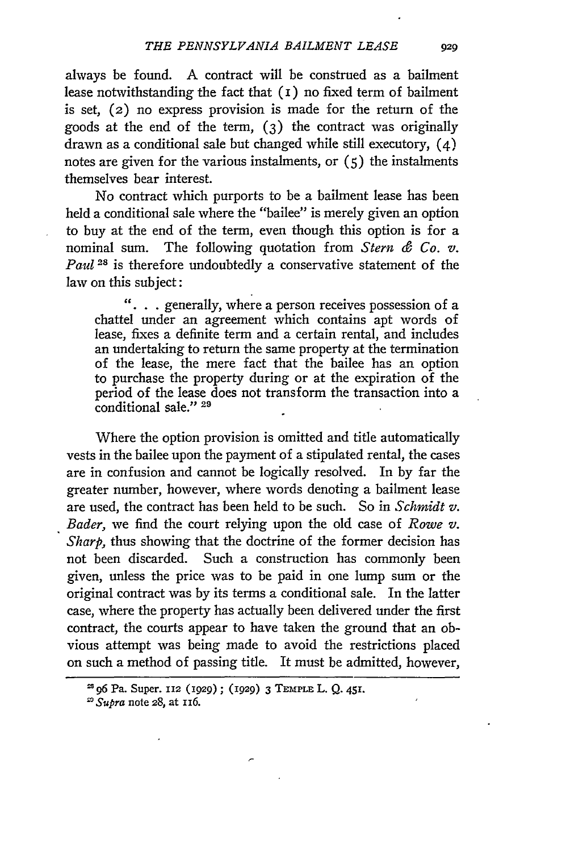always be found. **A** contract will be construed as a bailment lease notwithstanding the fact that (I) no fixed term of bailment is set, (2) no express provision is made for the return of the goods at the end of the term, (3) the contract was originally drawn as a conditional sale but changed while still executory, (4) notes are given for the various instalments, or  $(5)$  the instalments themselves bear interest.

No contract which purports to be a bailment lease has been held a conditional sale where the "bailee" is merely given an option to buy at the end of the term, even though this option is for a nominal sum. The following quotation from *Stern & Co. v. Paul* <sup>28</sup> is therefore undoubtedly a conservative statement of the law on this subject:

 $\ldots$ , generally, where a person receives possession of a chattel under an agreement which contains apt words of lease, fixes a definite term and a certain rental, and includes an undertaking to return the same property at the termination of the lease, the mere fact that the bailee has an option to purchase the property during or at the expiration of the period of the lease does not transform the transaction into a conditional sale." **<sup>29</sup>**

Where the option provision is omitted and title automatically vests in the bailee upon the payment of a stipulated rental, the cases are in confusion and cannot be logically resolved. In by far the greater number, however, where words denoting a bailment lease are used, the contract has been held to be such. So in *Schmidt v. Bader,* we find the court relying upon the old case of *Rowe v. Sharp*, thus showing that the doctrine of the former decision has not been discarded. Such a construction has commonly been given, unless the price was to be paid in one lump sum or the original contract was by its terms a conditional sale. In the latter case, where the property has actually been delivered under the first contract, the courts appear to have taken the ground that an obvious attempt was being made to avoid the restrictions placed on such a method of passing title. It must be admitted, however,

**<sup>196</sup>** Pa. Super. **112** (z929); **(1929) 3 TEMPLE L.** Q. 451.

*I Supra* note **28,** at 1i6.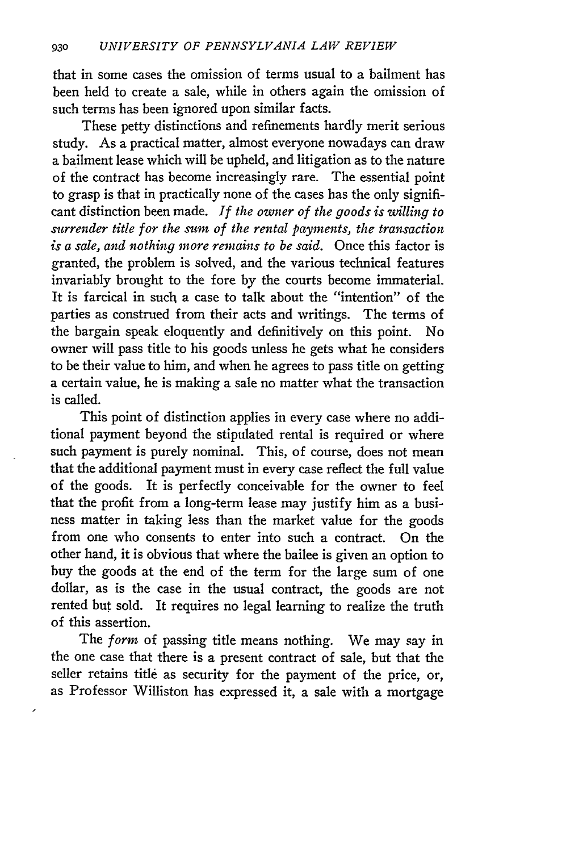that in some cases the omission of terms usual to a bailment has been held to create a sale, while in others again the omission of such terms has been ignored upon similar facts.

These petty distinctions and refinements hardly merit serious study. As a practical matter, almost everyone nowadays can draw a bailment lease which will be upheld, and litigation as to the nature of the contract has become increasingly rare. The essential point to grasp is that in practically none of the cases has the only significant distinction been made. *If the owner of the goods is willing to surrender title for the sum of the rental payments, the transaction is a sale, and nothing more remains to be said.* Once this factor is granted, the problem is solved, and the various technical features invariably brought to the fore by the courts become immaterial. It is farcical in such a case to talk about the "intention" of the parties as construed from their acts and writings. The terms of the bargain speak eloquently and definitively on this point. No owner will pass title to his goods unless he gets what he considers to be their value to him, and when he agrees to pass title on getting a certain value, he is making a sale no matter what the transaction is called.

This point of distinction applies in every case where no additional payment beyond the stipulated rental is required or where such payment is purely nominal. This, of course, does not mean that the additional payment must in every case reflect the full value of the goods. It is perfectly conceivable for the owner to feel that the profit from a long-term lease may justify him as a business matter in taking less than the market value for the goods from one who consents to enter into such a contract. On the other hand, it is obvious that where the bailee is given an option to buy the goods at the end of the term for the large sum of one dollar, as is the case in the usual contract, the goods are not rented but sold. It requires no legal learning to realize the truth of this assertion.

The *form* of passing title means nothing. We may say in the one case that there is a present contract of sale, but that the seller retains title as security for the payment of the price, or, as Professor Williston has expressed it, a sale with a mortgage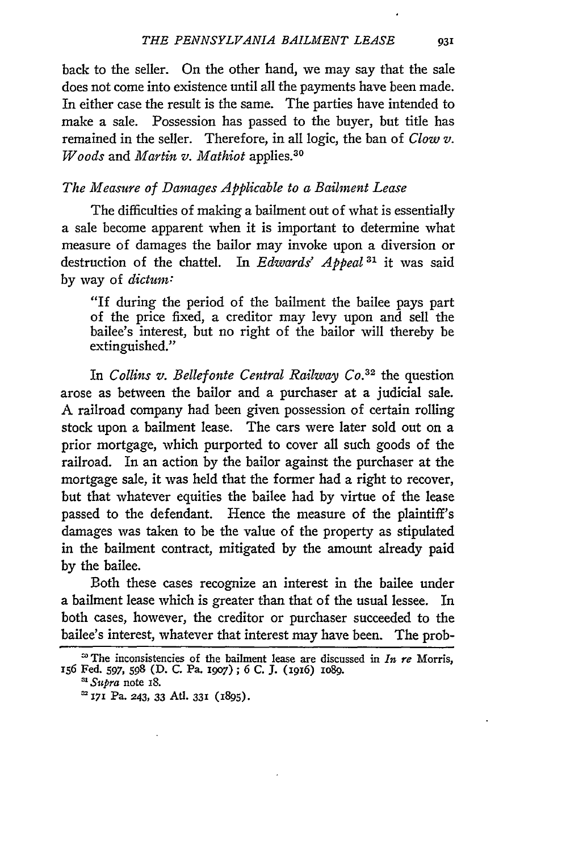back to the seller. On the other hand, we may say that the sale does not come into existence until all the payments have been made. In either case the result is the same. The parties have intended to make a sale. Possession has passed to the buyer, but title has remained in the seller. Therefore, in all logic, the ban of *Clow v. Woods* and *Martin v. Mathiot* applies.30

## *The Measure of Damages Applicable to a Baihnent Lease*

The difficulties of making a bailment out of what is essentially a sale become apparent when it is important to determine what measure of damages the bailor may invoke upon a diversion or destruction of the chattel. In *Edwards' Appeal* **31** it was said by way of *dictum:*

"If during the period of the bailment the bailee pays part of the price fixed, a creditor may levy upon and sell the bailee's interest, but no right of the bailor will thereby be extinguished."

In *Collins v. Bellefonte Central Railway Co.3 <sup>2</sup>*the question arose as between the bailor and a purchaser at a judicial sale. A railroad company had been given possession of certain rolling stock upon a bailment lease. The cars were later sold out on a prior mortgage, which purported to cover all such goods of the railroad. In an action by the bailor against the purchaser at the mortgage sale, it was held that the former had a right to recover, but that whatever equities the bailee had by virtue of the lease passed to the defendant. Hence the measure of the plaintiff's damages was taken to be the value of the property as stipulated in the bailment contract, mitigated by the amount already paid by the bailee.

Both these cases recognize an interest in the bailee under a bailment lease which is greater than that of the usual lessee. In both cases, however, the creditor or purchaser succeeded to the bailee's interest, whatever that interest may have been. The prob-

*'Supra* note 18.

<sup>&#</sup>x27;The inconsistencies of the bailment lease are discussed in *In re* Morris, 156 Fed. **597, 598 (D. C.** Pa. i9o7) ; 6 C. **J.** (1916) **io8g.**

<sup>2</sup> **1i** Pa. **243, 33** Adt. **331 (1895).**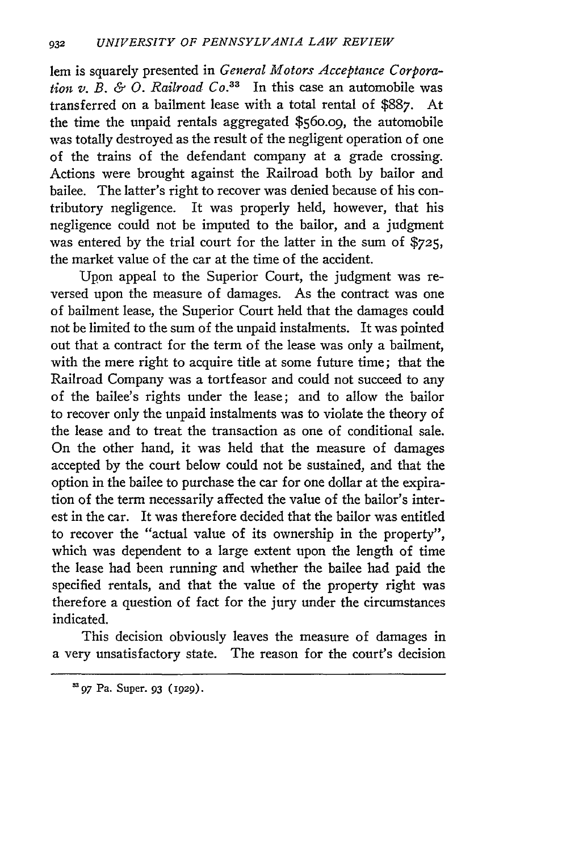lem is squarely presented in *General Motors Acceptance Corporation v. B. & O. Railroad*  $Co^{33}$  In this case an automobile was transferred on a bailment lease with a total rental of \$887. At the time the unpaid rentals aggregated \$56o.o9, the automobile was totally destroyed as the result of the negligent operation of one of the trains of the defendant company at a grade crossing. Actions were brought against the Railroad both by bailor and bailee. The latter's right to recover was denied because of his contributory negligence. It was properly held, however, that his negligence could not be imputed to the bailor, and a judgment was entered by the trial court for the latter in the sum of \$725, the market value of the car at the time of the accident.

Upon appeal to the Superior Court, the judgment was reversed upon the measure of damages. As the contract was one of bailment lease, the Superior Court held that the damages could not be limited to the sum of the unpaid instalments. It was pointed out that a contract for the term of the lease was only a bailment, with the mere right to acquire title at some future time; that the Railroad Company was a tortfeasor and could not succeed to any of the bailee's rights under the lease; and to allow the bailor to recover only the unpaid instalments was to violate the theory of the lease and to treat the transaction as one of conditional sale. On the other hand, it was held that the measure of damages accepted by the court below could not be sustained, and that the option in the bailee to purchase the car for one dollar at the expiration of the term necessarily affected the value of the bailor's interest in the car. It was therefore decided that the bailor was entitled to recover the "actual value of its ownership in the property", which was dependent to a large extent upon the length of time the lease had been running and whether the bailee had paid the specified rentals, and that the value of the property right was therefore a question of fact for the jury under the circumstances indicated.

This decision obviously leaves the measure of damages in a very unsatisfactory state. The reason for the court's decision

**<sup>=97</sup>** Pa. Super. 93 (1929).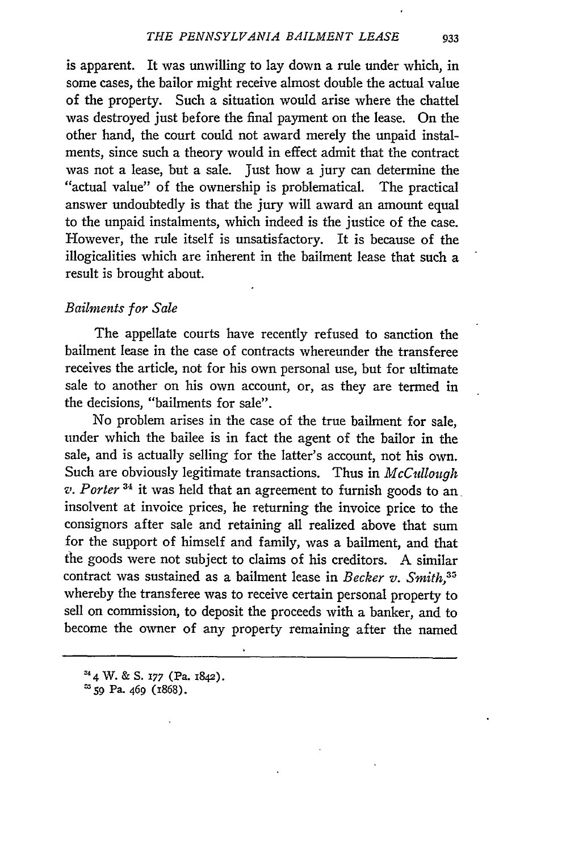is apparent. It was unwilling to lay down a rule under which, in some cases, the bailor might receive almost double the actual value of the property. Such a situation would arise where the chattel was destroyed just before the final payment on the lease. On the other hand, the court could not award merely the unpaid instalments, since such a theory would in effect admit that the contract was not a lease, but a sale. Just how a jury can determine the "actual value" of the ownership is problematical. The practical answer undoubtedly is that the jury will award an amount equal to the unpaid instalments, which indeed is the justice of the case. However, the rule itself is unsatisfactory. It is because of the illogicalities which are inherent in the bailment lease that such a result is brought about.

## *Bailments for Sale*

The appellate courts have recently refused to sanction the bailment lease in the case of contracts whereunder the transferee receives the article, not for his own personal use, but for ultimate sale to another on his own account, or, as they are termed in the decisions, "bailments for sale".

No problem arises in the case of the true bailment for sale, under which the bailee is in fact the agent of the bailor in the sale, and is actually selling for the latter's account, not his own. Such are obviously legitimate transactions. Thus in *McCullough v. Porter 34* it was held that an agreement to furnish goods to an insolvent at invoice prices, he returning the invoice price to the consignors after sale and retaining all realized above that sum for the support of himself and family, was a bailment, and that the goods were not subject to claims of his creditors. A similar contract was sustained as a bailment lease in *Becker v. Smith, <sup>3</sup>* whereby the transferee was to receive certain personal property to sell on commission, to deposit the proceeds with a banker, and to become the owner of any property remaining after the named

*<sup>4</sup>* W. **& S.** *177* (Pa. 1842).

**Z59** Pa. 469 (1868).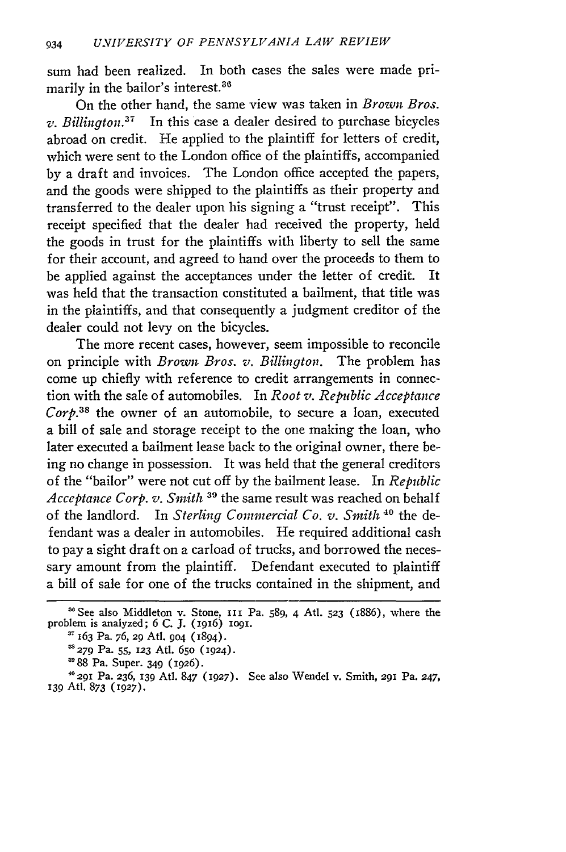sum had been realized. In both cases the sales were made primarily in the bailor's interest. <sup>36</sup>

On the other hand, the same view was taken in *Brown Bros. v. Billington.37* In this case a dealer desired to purchase bicycles abroad on credit. He applied to the plaintiff for letters of credit, which were sent to the London office of the plaintiffs, accompanied by a draft and invoices. The London office accepted the papers, and the goods were shipped to the plaintiffs as their property and transferred to the dealer upon his signing a "trust receipt". This receipt specified that the dealer had received the property, held the goods in trust for the plaintiffs with liberty to sell the same for their account, and agreed to hand over the proceeds to them to be applied against the acceptances under the letter of credit. It was held that the transaction constituted a bailment, that title was in the plaintiffs, and that consequently a judgment creditor of the dealer could not levy on the bicycles.

The more recent cases, however, seem impossible to reconcile on principle with *Brown Bros. v. Billington.* The problem has come up chiefly with reference to credit arrangements in connection with the sale of automobiles. In *Root v. Republic Acceptance Corp.38* the owner of an automobile, to secure a loan, executed a bill of sale and storage receipt to the one making the loan, who later executed a bailment lease back to the original owner, there being no change in possession. It was held that the general creditors of the "bailor" were not cut off by the bailment lease. In *Republic Acceptance Corp. v. Smith* **31** the same result was reached on behalf of the landlord. In *Sterling Commercial Co. v. Smith* **40** the defendant was a dealer in automobiles. He required additional cash to pay a sight draft on a carload of trucks, and borrowed the necessary amount from the plaintiff. Defendant executed to plaintiff a bill of sale for one of the trucks contained in the shipment, and

<sup>&#</sup>x27;See also Middleton v. Stone, Iii Pa. 589, 4 Ati. **523** (x886), where the problem is analyzed; 6 C. J. (1916) **og.**

**<sup>37</sup>**163 Pa. 76, **29** Atl. **904** (1894).

<sup>&</sup>lt;sup>38</sup> 279 Pa. 55, 123 Atl. 650 (1924).

**<sup>&#</sup>x27;88** Pa. Super. 349 (1926). 4029I Pa. 236, **139** Atl. 847 (927). See also Wendel v. Smith, **291** Pa. 247, **139** Ati. 873 **(1927).**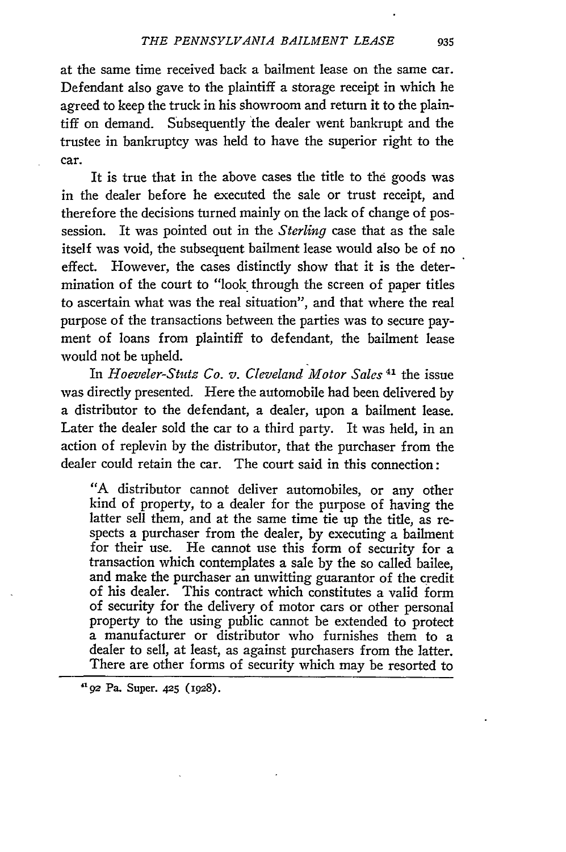at the same time received back a bailment lease on the same car. Defendant also gave to the plaintiff a storage receipt in which he agreed to keep the truck in his showroom and return it to the plaintiff on demand. Subsequently the dealer went bankrupt and the trustee in bankruptcy was held to have the superior right to the car.

It is true that in the above cases the title to the goods was in the dealer before he executed the sale or trust receipt, and therefore the decisions turned mainly on the lack of change of possession. It was pointed out in the *Sterling* case that as the sale itself was void, the subsequent bailment lease would also be of no effect. However, the cases distinctly show that it is the determination of the court to "look through the screen of paper titles to ascertain what was the real situation", and that where the real purpose of the transactions between the parties was to secure payment of loans from plaintiff to defendant, the bailment lease would not be upheld.

In *Hoeveler-Stutz Co. v. Cleveland Motor Sales 41* the issue was directly presented. Here the automobile had been delivered by a distributor to the defendant, a dealer, upon a bailment lease. Later the dealer sold the car to a third party. It was held, in an action of replevin by the distributor, that the purchaser from the dealer could retain the car. The court said in this connection:

"A distributor cannot deliver automobiles, or any other kind of property, to a dealer for the purpose of having the latter sell them, and at the same time tie up the title, as respects a purchaser from the dealer, by executing a bailment for their use. He cannot use this form of security for a transaction which contemplates a sale by the so called bailee, and make the purchaser an unwitting guarantor of the credit of his dealer. This contract which constitutes a valid form of security for the delivery of motor cars or other personal property to the using public cannot be extended to protect a manufacturer or distributor who furnishes them to a dealer to sell, at least, as against purchasers from the latter. There are other forms of security which may be resorted to

**92 Pa.** Super. **425** (1928).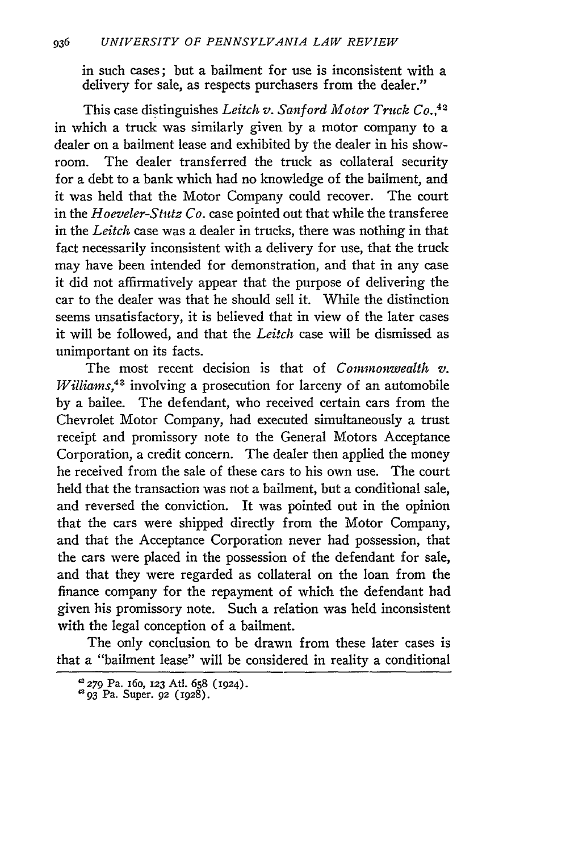in such cases; but a bailment for use is inconsistent with a delivery for sale, as respects purchasers from the dealer."

This case distinguishes *Leitch v. Sanford Motor Truck Co.,42* in which a truck was similarly given by a motor company to a dealer on a bailment lease and exhibited by the dealer in his showroom. The dealer transferred the truck as collateral security for a debt to a bank which had no knowledge of the bailment, and it was held that the Motor Company could recover. The court in the *Hoeveler-Stutz Co.* case pointed out that while the transferee in the *Leitch* case was a dealer in trucks, there was nothing in that fact necessarily inconsistent with a delivery for use, that the truck may have been intended for demonstration, and that in any case it did not affirmatively appear that the purpose of delivering the car to the dealer was that he should sell it. While the distinction seems unsatisfactory, it is believed that in view of the later cases it will be followed, and that the *Leitch* case will be dismissed as unimportant on its facts.

The most recent decision is that of *Commonwealth v. Williams,43* involving a prosecution for larceny of an automobile by a bailee. The defendant, who received certain cars from the Chevrolet Motor Company, had executed simultaneously a trust receipt and promissory note to the General Motors Acceptance Corporation, a credit concern. The dealer then applied the money he received from the sale of these cars to his own use. The court held that the transaction was not a bailment, but a conditional sale, and reversed the conviction. It was pointed out in the opinion that the cars were shipped directly from the Motor Company, and that the Acceptance Corporation never had possession, that the cars were placed in the possession of the defendant for sale, and that they were regarded as collateral on the loan from the finance company for the repayment of which the defendant had given his promissory note. Such a relation was held inconsistent with the legal conception of a bailment.

The only conclusion to be drawn from these later cases is that a "bailment lease" will be considered in reality a conditional

**<sup>42279</sup>** Pa. 16o, 123 Atl. 658 **(1924).**

 $4^{\circ}$  93 Pa. Super. 92 (1928)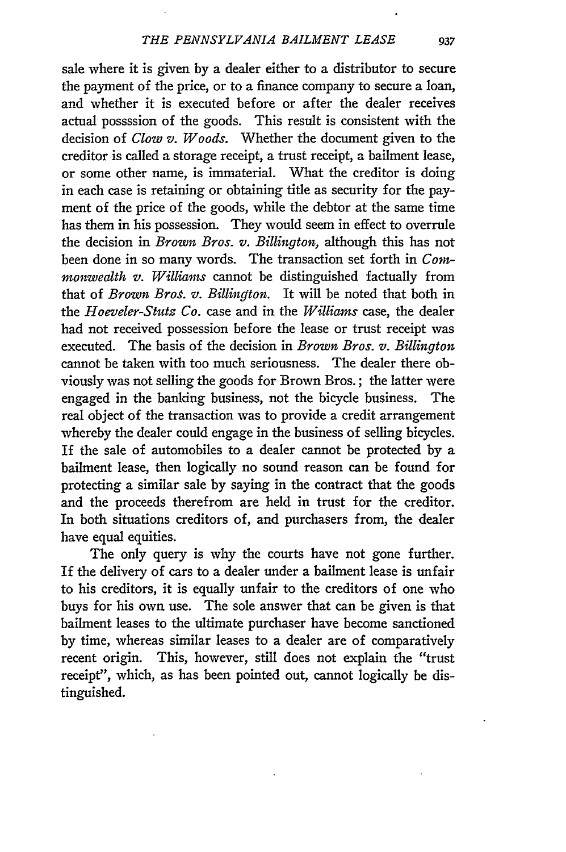sale where it is given by a dealer either to a distributor to secure the payment of the price, or to a finance company to secure a loan, and whether it is executed before or after the dealer receives actual possssion of the goods. This result is consistent with the decision of *Clow v. Woods.* Whether the document given to the creditor is called a storage receipt, a trust receipt, a bailment lease, or some other name, is immaterial. What the creditor is doing in each case is retaining or obtaining title as security for the payment of the price of the goods, while the debtor at the same time has them in his possession. They would seem in effect to overrule the decision in *Brown Bros. v. Billington,* although this has not been done in so many words. The transaction set forth in *Commonwealth v. Williams* cannot be distinguished factually from that of *Brown Bros. v. Billington.* It will be noted that both in the *Hoeveler-Stutz Co.* case and in the *Williams* case, the dealer had not received possession before the lease or trust receipt was executed. The basis of the decision in *Brown Bros. v. Billington* cannot be taken with too much seriousness. The dealer there obviously was not selling the goods for Brown Bros.; the latter were engaged in the banking business, not the bicycle business. The real object of the transaction was to provide a credit arrangement whereby the dealer could engage in the business of selling bicycles. If the sale of automobiles to a dealer cannot be protected by a bailment lease, then logically no sound reason can be found for protecting a similar sale by saying in the contract that the goods and the proceeds therefrom are held in trust for the creditor. In both situations creditors of, and purchasers from, the dealer have equal equities.

The only query is why the courts have not gone further. If the delivery of cars to a dealer under a bailment lease is unfair to his creditors, it is equally unfair to the creditors of one who buys for his own use. The sole answer that can be given is that bailment leases to the ultimate purchaser have become sanctioned by time, whereas similar leases to a dealer are of comparatively recent origin. This, however, still does not explain the "trust receipt", which, as has been pointed out, cannot logically be distinguished.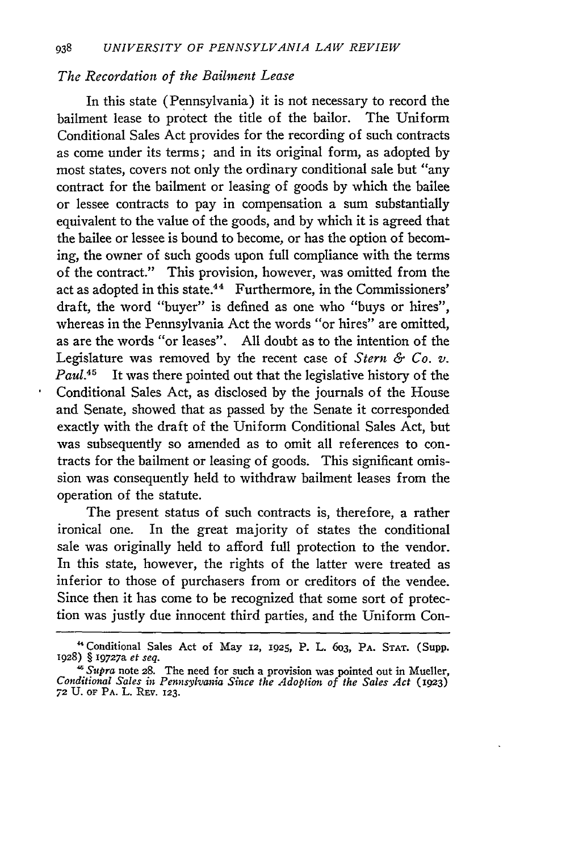## *The Recordation of the Bailment Lease*

In this state (Pennsylvania) it is not necessary to record the bailment lease to protect the title of the bailor. The Uniform Conditional Sales Act provides for the recording of such contracts as come under its terms; and in its original form, as adopted by most states, covers not only the ordinary conditional sale but "any contract for the bailment or leasing of goods by which the bailee or lessee contracts to pay in compensation a sum substantially equivalent to the value of the goods, and by which it is agreed that the bailee or lessee is bound to become, or has the option of becoming, the owner of such goods upon full compliance with the terms of the contract." This provision, however, was omitted from the act as adopted in this state.<sup>44</sup> Furthermore, in the Commissioners' draft, the word "buyer" is defined as one who "buys or hires", whereas in the Pennsylvania Act the words "or hires" are omitted, as are the words "or leases". All doubt as to the intention of the Legislature was removed **by** the recent case of *Stern & Co. v. Paul.45* It was there pointed out that the legislative history of the Conditional Sales Act, as disclosed by the journals of the House and Senate, showed that as passed by the Senate it corresponded exactly with the draft of the Uniform Conditional Sales Act, but was subsequently so amended as to omit all references to contracts for the bailment or leasing of goods. This significant omission was consequently held to withdraw bailment leases from the operation of the statute.

The present status of such contracts is, therefore, a rather ironical one. In the great majority of states the conditional sale was originally held to afford full protection to the vendor. In this state, however, the rights of the latter were treated as inferior to those of purchasers from or creditors of the vendee. Since then it has come to be recognized that some sort of protection was justly due innocent third parties, and the Uniform Con-

<sup>&</sup>quot;Conditional Sales Act of May **12, 1925,** P. L. 6o3, **PA. STAT.** (Supp. **1928)** § 19727a *et seq.*

 $\frac{1}{6}$  *Supra* note 28. The need for such a provision was pointed out in Mueller *Conditional Sales in Pennsylvania Since the Adoption of the Sales Act* (1923) **72 U.** OF **PA.** L. Rav. **123.**